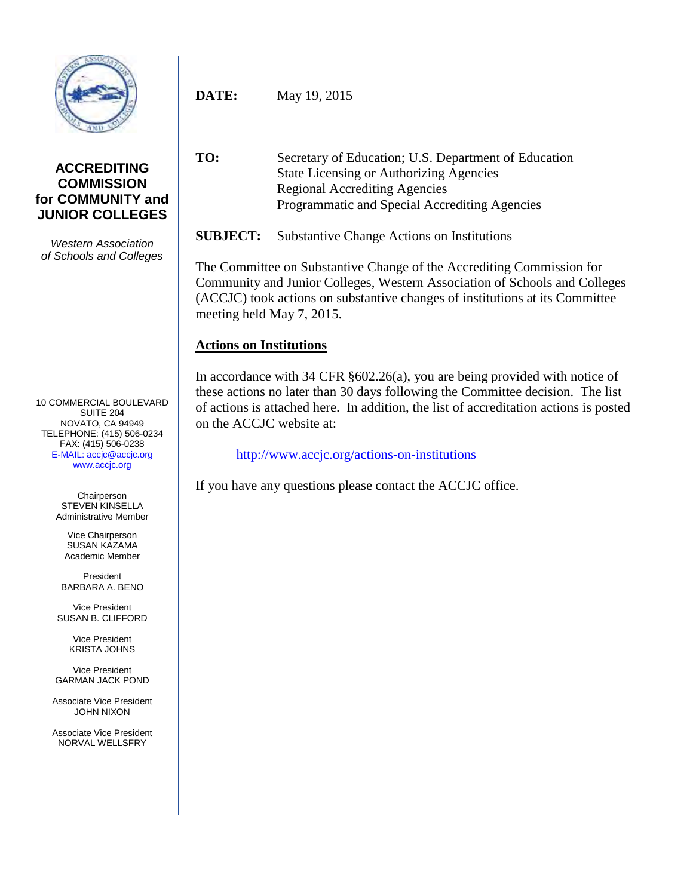

## **ACCREDITING COMMISSION for COMMUNITY and JUNIOR COLLEGES**

*Western Association of Schools and Colleges*

10 COMMERCIAL BOULEVARD SUITE 204 NOVATO, CA 94949 TELEPHONE: (415) 506-0234 FAX: (415) 506-0238 [E-MAIL: accjc@accjc.org](mailto:accjc@accjc.org) [www.accjc.org](http://www.accjc.org/)

> Chairperson STEVEN KINSELLA Administrative Member

Vice Chairperson SUSAN KAZAMA Academic Member

President BARBARA A. BENO

Vice President SUSAN B. CLIFFORD

> Vice President KRISTA JOHNS

Vice President GARMAN JACK POND

Associate Vice President JOHN NIXON

Associate Vice President NORVAL WELLSFRY

**DATE:** May 19, 2015

**TO:** Secretary of Education; U.S. Department of Education State Licensing or Authorizing Agencies Regional Accrediting Agencies Programmatic and Special Accrediting Agencies

**SUBJECT:** Substantive Change Actions on Institutions

The Committee on Substantive Change of the Accrediting Commission for Community and Junior Colleges, Western Association of Schools and Colleges (ACCJC) took actions on substantive changes of institutions at its Committee meeting held May 7, 2015.

## **Actions on Institutions**

In accordance with 34 CFR §602.26(a), you are being provided with notice of these actions no later than 30 days following the Committee decision. The list of actions is attached here. In addition, the list of accreditation actions is posted on the ACCJC website at:

<http://www.accjc.org/actions-on-institutions>

If you have any questions please contact the ACCJC office.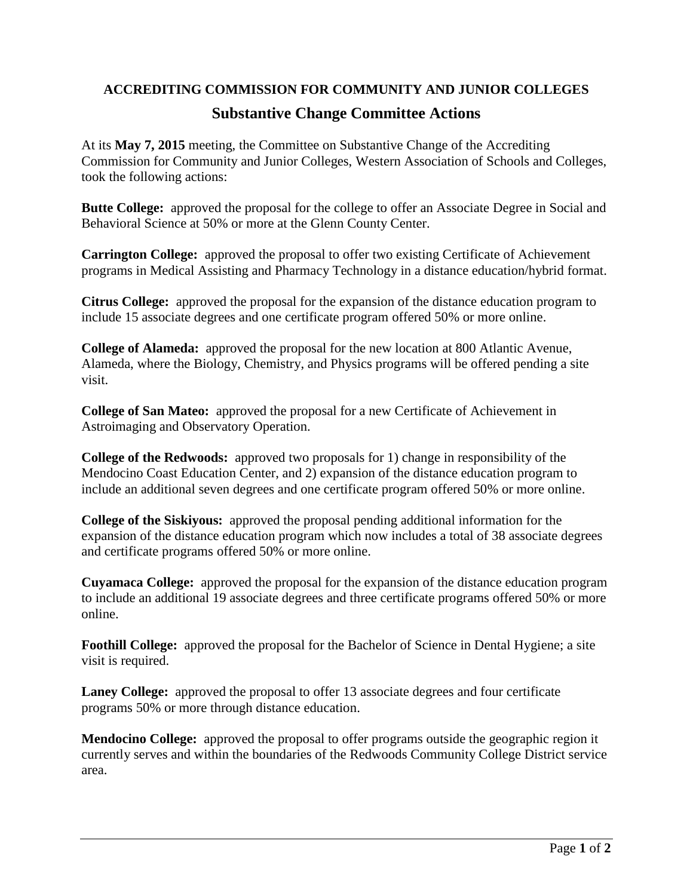## **ACCREDITING COMMISSION FOR COMMUNITY AND JUNIOR COLLEGES Substantive Change Committee Actions**

At its **May 7, 2015** meeting, the Committee on Substantive Change of the Accrediting Commission for Community and Junior Colleges, Western Association of Schools and Colleges, took the following actions:

**Butte College:** approved the proposal for the college to offer an Associate Degree in Social and Behavioral Science at 50% or more at the Glenn County Center.

**Carrington College:** approved the proposal to offer two existing Certificate of Achievement programs in Medical Assisting and Pharmacy Technology in a distance education/hybrid format.

**Citrus College:** approved the proposal for the expansion of the distance education program to include 15 associate degrees and one certificate program offered 50% or more online.

**College of Alameda:** approved the proposal for the new location at 800 Atlantic Avenue, Alameda, where the Biology, Chemistry, and Physics programs will be offered pending a site visit.

**College of San Mateo:** approved the proposal for a new Certificate of Achievement in Astroimaging and Observatory Operation.

**College of the Redwoods:** approved two proposals for 1) change in responsibility of the Mendocino Coast Education Center, and 2) expansion of the distance education program to include an additional seven degrees and one certificate program offered 50% or more online.

**College of the Siskiyous:** approved the proposal pending additional information for the expansion of the distance education program which now includes a total of 38 associate degrees and certificate programs offered 50% or more online.

**Cuyamaca College:** approved the proposal for the expansion of the distance education program to include an additional 19 associate degrees and three certificate programs offered 50% or more online.

**Foothill College:** approved the proposal for the Bachelor of Science in Dental Hygiene; a site visit is required.

**Laney College:** approved the proposal to offer 13 associate degrees and four certificate programs 50% or more through distance education.

**Mendocino College:** approved the proposal to offer programs outside the geographic region it currently serves and within the boundaries of the Redwoods Community College District service area.